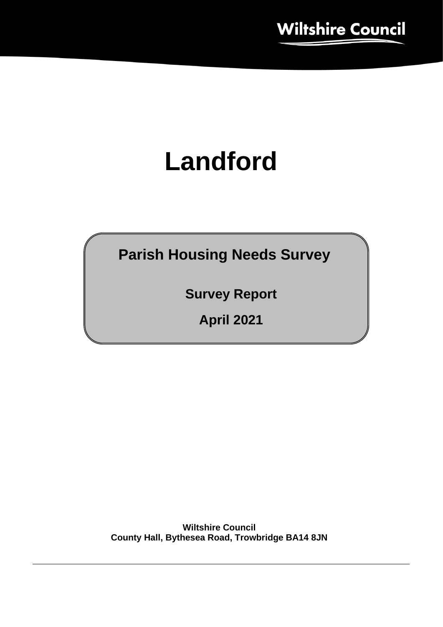# **Landford**

**Parish Housing Needs Survey**

**Survey Report**

**April 2021**

**Wiltshire Council County Hall, Bythesea Road, Trowbridge BA14 8JN**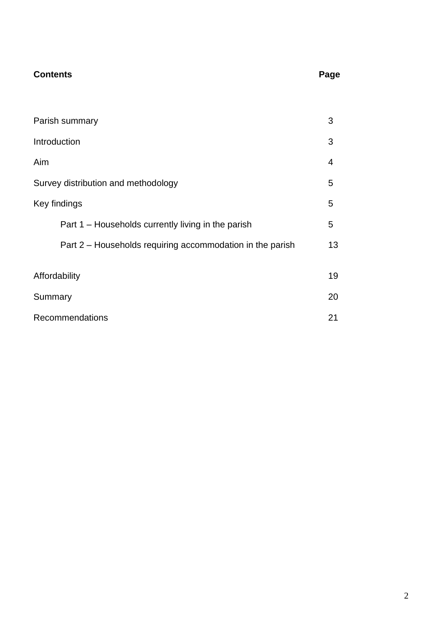## **Contents** Page

| Parish summary                                            | 3  |
|-----------------------------------------------------------|----|
| Introduction                                              | 3  |
| Aim                                                       | 4  |
| Survey distribution and methodology                       | 5  |
| Key findings                                              | 5  |
| Part 1 – Households currently living in the parish        | 5  |
| Part 2 – Households requiring accommodation in the parish | 13 |
| Affordability                                             | 19 |
| Summary                                                   | 20 |
| <b>Recommendations</b>                                    | 21 |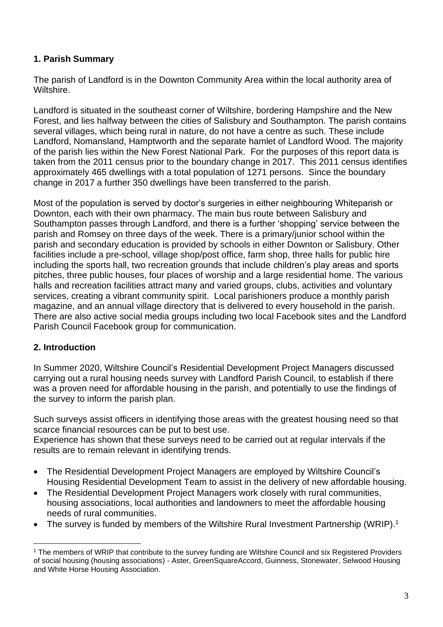#### **1. Parish Summary**

The parish of Landford is in the Downton Community Area within the local authority area of Wiltshire.

Landford is situated in the southeast corner of Wiltshire, bordering Hampshire and the New Forest, and lies halfway between the cities of Salisbury and Southampton. The parish contains several villages, which being rural in nature, do not have a centre as such. These include Landford, Nomansland, Hamptworth and the separate hamlet of Landford Wood. The majority of the parish lies within the New Forest National Park. For the purposes of this report data is taken from the 2011 census prior to the boundary change in 2017. This 2011 census identifies approximately 465 dwellings with a total population of 1271 persons. Since the boundary change in 2017 a further 350 dwellings have been transferred to the parish.

Most of the population is served by doctor's surgeries in either neighbouring Whiteparish or Downton, each with their own pharmacy. The main bus route between Salisbury and Southampton passes through Landford, and there is a further 'shopping' service between the parish and Romsey on three days of the week. There is a primary/junior school within the parish and secondary education is provided by schools in either Downton or Salisbury. Other facilities include a pre-school, village shop/post office, farm shop, three halls for public hire including the sports hall, two recreation grounds that include children's play areas and sports pitches, three public houses, four places of worship and a large residential home. The various halls and recreation facilities attract many and varied groups, clubs, activities and voluntary services, creating a vibrant community spirit. Local parishioners produce a monthly parish magazine, and an annual village directory that is delivered to every household in the parish. There are also active social media groups including two local Facebook sites and the Landford Parish Council Facebook group for communication.

#### **2. Introduction**

In Summer 2020, Wiltshire Council's Residential Development Project Managers discussed carrying out a rural housing needs survey with Landford Parish Council, to establish if there was a proven need for affordable housing in the parish, and potentially to use the findings of the survey to inform the parish plan.

Such surveys assist officers in identifying those areas with the greatest housing need so that scarce financial resources can be put to best use.

Experience has shown that these surveys need to be carried out at regular intervals if the results are to remain relevant in identifying trends.

- The Residential Development Project Managers are employed by Wiltshire Council's Housing Residential Development Team to assist in the delivery of new affordable housing.
- The Residential Development Project Managers work closely with rural communities, housing associations, local authorities and landowners to meet the affordable housing needs of rural communities.
- The survey is funded by members of the Wiltshire Rural Investment Partnership (WRIP).<sup>1</sup>

<sup>1</sup> The members of WRIP that contribute to the survey funding are Wiltshire Council and six Registered Providers of social housing (housing associations) - Aster, GreenSquareAccord, Guinness, Stonewater, Selwood Housing and White Horse Housing Association.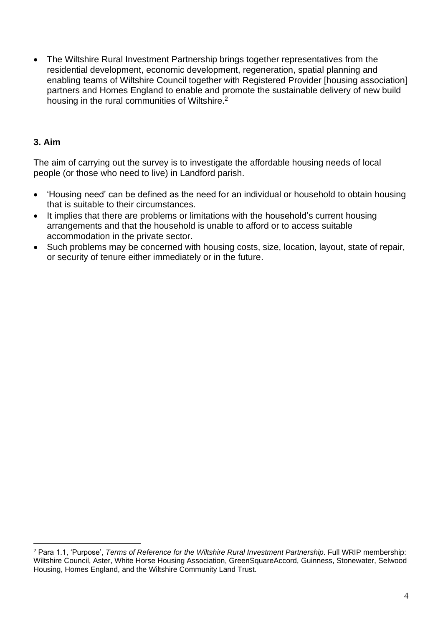• The Wiltshire Rural Investment Partnership brings together representatives from the residential development, economic development, regeneration, spatial planning and enabling teams of Wiltshire Council together with Registered Provider [housing association] partners and Homes England to enable and promote the sustainable delivery of new build housing in the rural communities of Wiltshire.<sup>2</sup>

#### **3. Aim**

The aim of carrying out the survey is to investigate the affordable housing needs of local people (or those who need to live) in Landford parish.

- 'Housing need' can be defined as the need for an individual or household to obtain housing that is suitable to their circumstances.
- It implies that there are problems or limitations with the household's current housing arrangements and that the household is unable to afford or to access suitable accommodation in the private sector.
- Such problems may be concerned with housing costs, size, location, layout, state of repair, or security of tenure either immediately or in the future.

<sup>2</sup> Para 1.1, 'Purpose', *Terms of Reference for the Wiltshire Rural Investment Partnership*. Full WRIP membership: Wiltshire Council, Aster, White Horse Housing Association, GreenSquareAccord, Guinness, Stonewater, Selwood Housing, Homes England, and the Wiltshire Community Land Trust.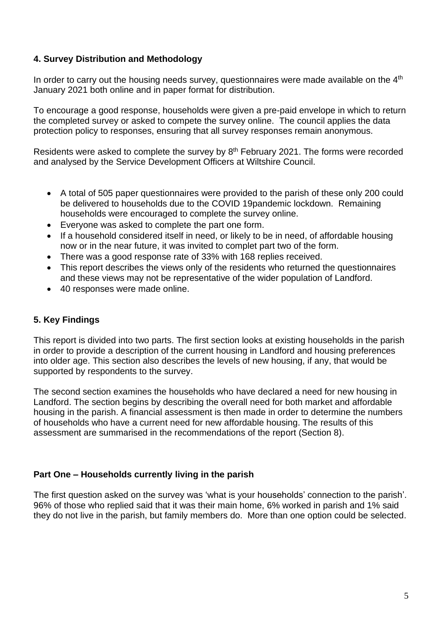#### **4. Survey Distribution and Methodology**

In order to carry out the housing needs survey, questionnaires were made available on the  $4<sup>th</sup>$ January 2021 both online and in paper format for distribution.

To encourage a good response, households were given a pre-paid envelope in which to return the completed survey or asked to compete the survey online. The council applies the data protection policy to responses, ensuring that all survey responses remain anonymous.

Residents were asked to complete the survey by 8<sup>th</sup> February 2021. The forms were recorded and analysed by the Service Development Officers at Wiltshire Council.

- A total of 505 paper questionnaires were provided to the parish of these only 200 could be delivered to households due to the COVID 19pandemic lockdown. Remaining households were encouraged to complete the survey online.
- Everyone was asked to complete the part one form.
- If a household considered itself in need, or likely to be in need, of affordable housing now or in the near future, it was invited to complet part two of the form.
- There was a good response rate of 33% with 168 replies received.
- This report describes the views only of the residents who returned the questionnaires and these views may not be representative of the wider population of Landford.
- 40 responses were made online.

#### **5. Key Findings**

This report is divided into two parts. The first section looks at existing households in the parish in order to provide a description of the current housing in Landford and housing preferences into older age. This section also describes the levels of new housing, if any, that would be supported by respondents to the survey.

The second section examines the households who have declared a need for new housing in Landford. The section begins by describing the overall need for both market and affordable housing in the parish. A financial assessment is then made in order to determine the numbers of households who have a current need for new affordable housing. The results of this assessment are summarised in the recommendations of the report (Section 8).

#### **Part One – Households currently living in the parish**

The first question asked on the survey was 'what is your households' connection to the parish'. 96% of those who replied said that it was their main home, 6% worked in parish and 1% said they do not live in the parish, but family members do. More than one option could be selected.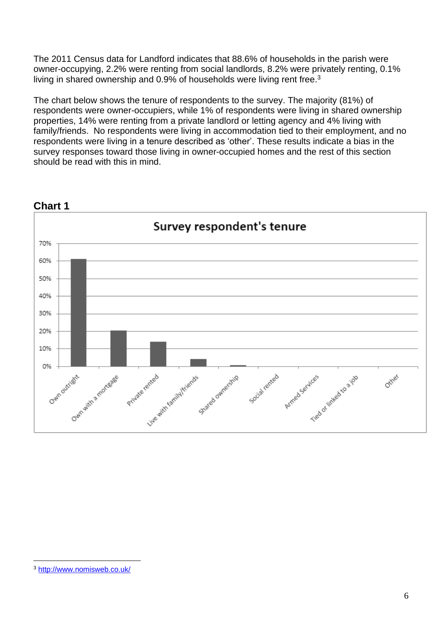The 2011 Census data for Landford indicates that 88.6% of households in the parish were owner-occupying, 2.2% were renting from social landlords, 8.2% were privately renting, 0.1% living in shared ownership and 0.9% of households were living rent free.<sup>3</sup>

The chart below shows the tenure of respondents to the survey. The majority (81%) of respondents were owner-occupiers, while 1% of respondents were living in shared ownership properties, 14% were renting from a private landlord or letting agency and 4% living with family/friends. No respondents were living in accommodation tied to their employment, and no respondents were living in a tenure described as 'other'. These results indicate a bias in the survey responses toward those living in owner-occupied homes and the rest of this section should be read with this in mind.



#### **Chart 1**

<sup>3</sup> <http://www.nomisweb.co.uk/>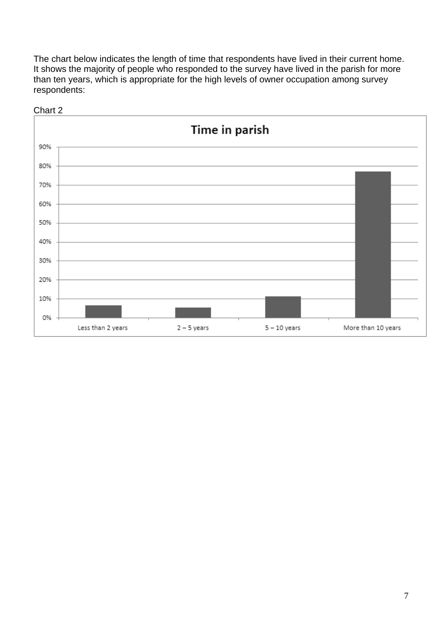The chart below indicates the length of time that respondents have lived in their current home. It shows the majority of people who responded to the survey have lived in the parish for more than ten years, which is appropriate for the high levels of owner occupation among survey respondents:



#### Chart 2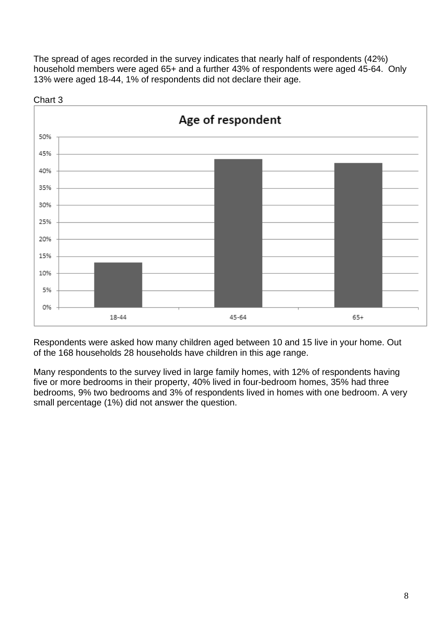The spread of ages recorded in the survey indicates that nearly half of respondents (42%) household members were aged 65+ and a further 43% of respondents were aged 45-64. Only 13% were aged 18-44, 1% of respondents did not declare their age.



Respondents were asked how many children aged between 10 and 15 live in your home. Out of the 168 households 28 households have children in this age range.

Many respondents to the survey lived in large family homes, with 12% of respondents having five or more bedrooms in their property, 40% lived in four-bedroom homes, 35% had three bedrooms, 9% two bedrooms and 3% of respondents lived in homes with one bedroom. A very small percentage (1%) did not answer the question.

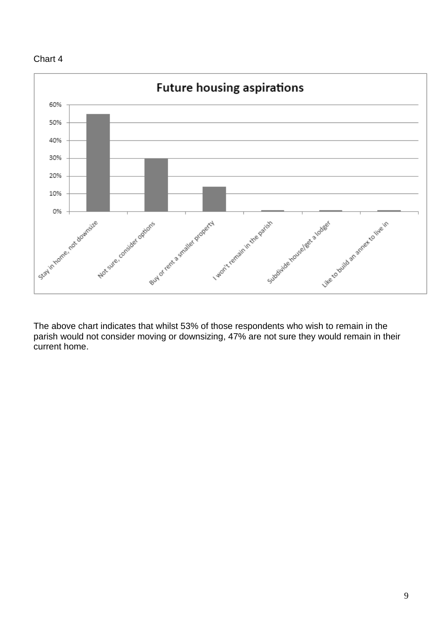



The above chart indicates that whilst 53% of those respondents who wish to remain in the parish would not consider moving or downsizing, 47% are not sure they would remain in their current home.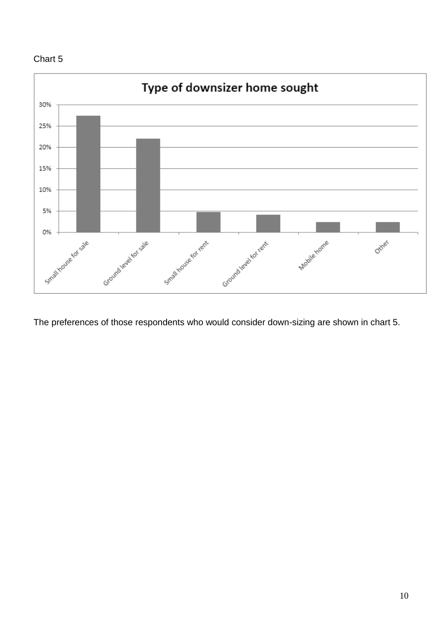



The preferences of those respondents who would consider down-sizing are shown in chart 5.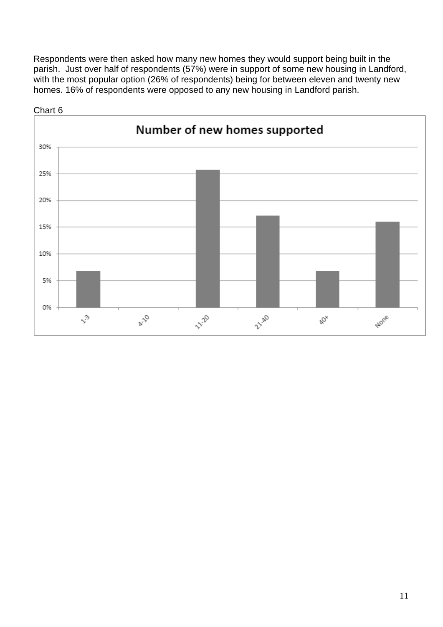Respondents were then asked how many new homes they would support being built in the parish. Just over half of respondents (57%) were in support of some new housing in Landford, with the most popular option (26% of respondents) being for between eleven and twenty new homes. 16% of respondents were opposed to any new housing in Landford parish.



#### Chart 6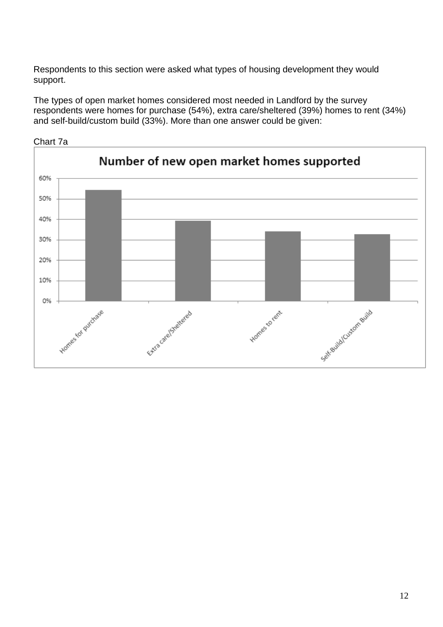Respondents to this section were asked what types of housing development they would support.

The types of open market homes considered most needed in Landford by the survey respondents were homes for purchase (54%), extra care/sheltered (39%) homes to rent (34%) and self-build/custom build (33%). More than one answer could be given:



Chart 7a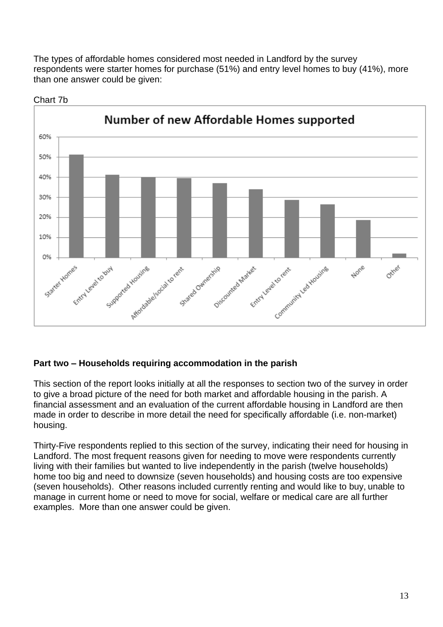The types of affordable homes considered most needed in Landford by the survey respondents were starter homes for purchase (51%) and entry level homes to buy (41%), more than one answer could be given:



Chart 7b

### **Part two – Households requiring accommodation in the parish**

This section of the report looks initially at all the responses to section two of the survey in order to give a broad picture of the need for both market and affordable housing in the parish. A financial assessment and an evaluation of the current affordable housing in Landford are then made in order to describe in more detail the need for specifically affordable (i.e. non-market) housing.

Thirty-Five respondents replied to this section of the survey, indicating their need for housing in Landford. The most frequent reasons given for needing to move were respondents currently living with their families but wanted to live independently in the parish (twelve households) home too big and need to downsize (seven households) and housing costs are too expensive (seven households). Other reasons included currently renting and would like to buy, unable to manage in current home or need to move for social, welfare or medical care are all further examples. More than one answer could be given.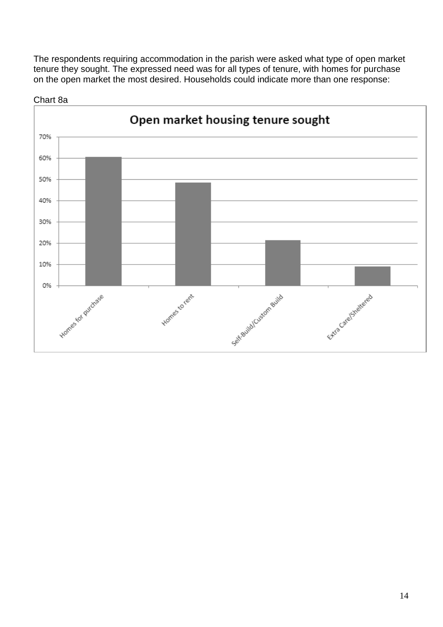The respondents requiring accommodation in the parish were asked what type of open market tenure they sought. The expressed need was for all types of tenure, with homes for purchase on the open market the most desired. Households could indicate more than one response:



Chart 8a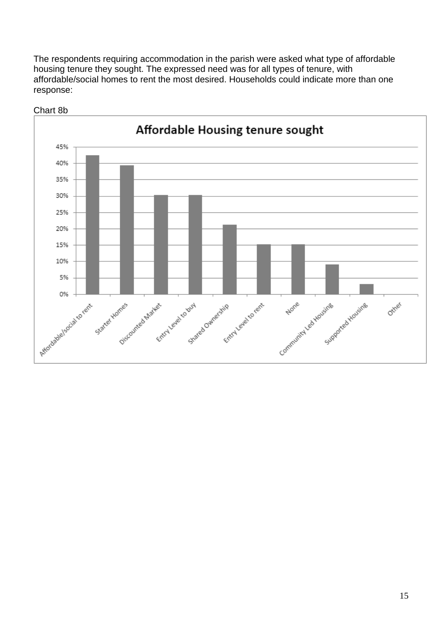The respondents requiring accommodation in the parish were asked what type of affordable housing tenure they sought. The expressed need was for all types of tenure, with affordable/social homes to rent the most desired. Households could indicate more than one response:



#### Chart 8b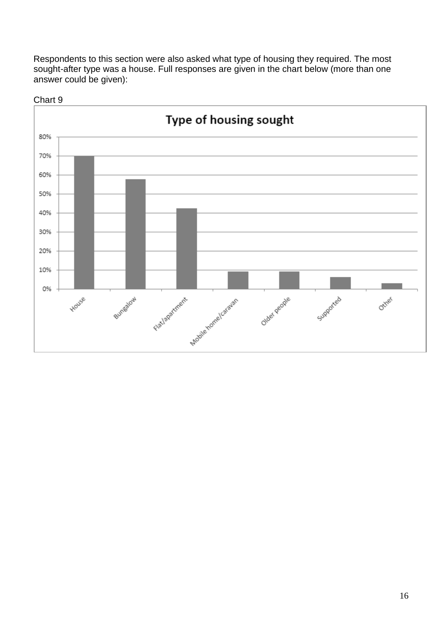Respondents to this section were also asked what type of housing they required. The most sought-after type was a house. Full responses are given in the chart below (more than one answer could be given):



#### Chart 9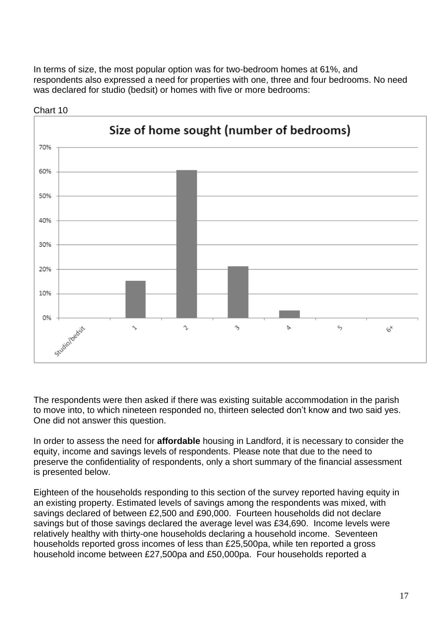In terms of size, the most popular option was for two-bedroom homes at 61%, and respondents also expressed a need for properties with one, three and four bedrooms. No need was declared for studio (bedsit) or homes with five or more bedrooms:



#### Chart 10

The respondents were then asked if there was existing suitable accommodation in the parish to move into, to which nineteen responded no, thirteen selected don't know and two said yes. One did not answer this question.

In order to assess the need for **affordable** housing in Landford, it is necessary to consider the equity, income and savings levels of respondents. Please note that due to the need to preserve the confidentiality of respondents, only a short summary of the financial assessment is presented below.

Eighteen of the households responding to this section of the survey reported having equity in an existing property. Estimated levels of savings among the respondents was mixed, with savings declared of between £2,500 and £90,000. Fourteen households did not declare savings but of those savings declared the average level was £34,690. Income levels were relatively healthy with thirty-one households declaring a household income. Seventeen households reported gross incomes of less than £25,500pa, while ten reported a gross household income between £27,500pa and £50,000pa. Four households reported a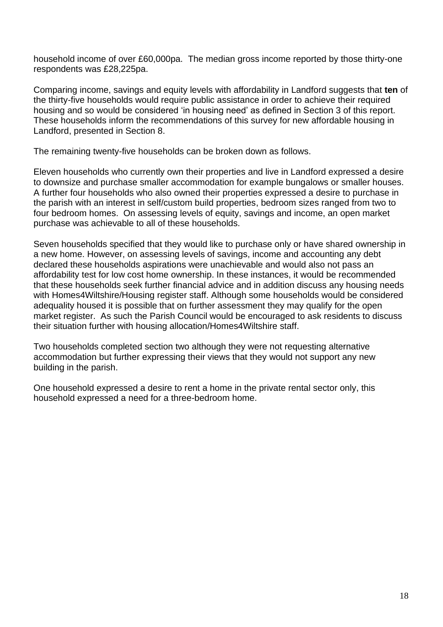household income of over £60,000pa. The median gross income reported by those thirty-one respondents was £28,225pa.

Comparing income, savings and equity levels with affordability in Landford suggests that **ten** of the thirty-five households would require public assistance in order to achieve their required housing and so would be considered 'in housing need' as defined in Section 3 of this report. These households inform the recommendations of this survey for new affordable housing in Landford, presented in Section 8.

The remaining twenty-five households can be broken down as follows.

Eleven households who currently own their properties and live in Landford expressed a desire to downsize and purchase smaller accommodation for example bungalows or smaller houses. A further four households who also owned their properties expressed a desire to purchase in the parish with an interest in self/custom build properties, bedroom sizes ranged from two to four bedroom homes. On assessing levels of equity, savings and income, an open market purchase was achievable to all of these households.

Seven households specified that they would like to purchase only or have shared ownership in a new home. However, on assessing levels of savings, income and accounting any debt declared these households aspirations were unachievable and would also not pass an affordability test for low cost home ownership. In these instances, it would be recommended that these households seek further financial advice and in addition discuss any housing needs with Homes4Wiltshire/Housing register staff. Although some households would be considered adequality housed it is possible that on further assessment they may qualify for the open market register. As such the Parish Council would be encouraged to ask residents to discuss their situation further with housing allocation/Homes4Wiltshire staff.

Two households completed section two although they were not requesting alternative accommodation but further expressing their views that they would not support any new building in the parish.

One household expressed a desire to rent a home in the private rental sector only, this household expressed a need for a three-bedroom home.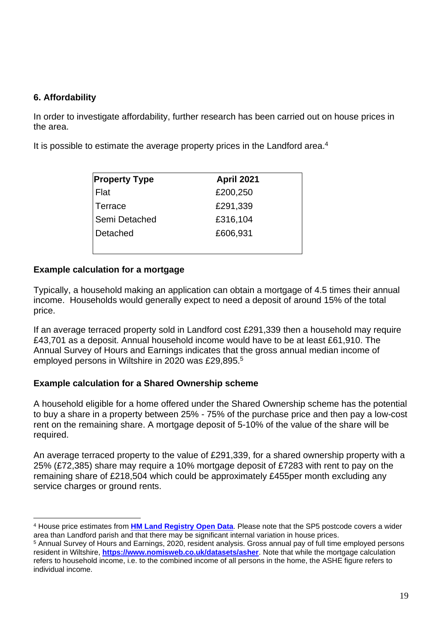#### **6. Affordability**

In order to investigate affordability, further research has been carried out on house prices in the area.

It is possible to estimate the average property prices in the Landford area.<sup>4</sup>

| <b>Property Type</b> | <b>April 2021</b> |
|----------------------|-------------------|
| Flat                 | £200,250          |
| Terrace              | £291,339          |
| Semi Detached        | £316,104          |
| Detached             | £606,931          |
|                      |                   |

#### **Example calculation for a mortgage**

Typically, a household making an application can obtain a mortgage of 4.5 times their annual income. Households would generally expect to need a deposit of around 15% of the total price.

If an average terraced property sold in Landford cost £291,339 then a household may require £43,701 as a deposit. Annual household income would have to be at least £61,910. The Annual Survey of Hours and Earnings indicates that the gross annual median income of employed persons in Wiltshire in 2020 was £29,895. 5

#### **Example calculation for a Shared Ownership scheme**

A household eligible for a home offered under the Shared Ownership scheme has the potential to buy a share in a property between 25% - 75% of the purchase price and then pay a low-cost rent on the remaining share. A mortgage deposit of 5-10% of the value of the share will be required.

An average terraced property to the value of £291,339, for a shared ownership property with a 25% (£72,385) share may require a 10% mortgage deposit of £7283 with rent to pay on the remaining share of £218,504 which could be approximately £455per month excluding any service charges or ground rents.

<sup>4</sup> House price estimates from **[HM Land Registry Open Data](https://landregistry.data.gov.uk/app/ppd/?et%5B%5D=lrcommon%3Afreehold&et%5B%5D=lrcommon%3Aleasehold&limit=all&max_date=2021-02-02&min_date=2020-02-02&nb%5B%5D=true&nb%5B%5D=false&postcode=SN11+9&ptype%5B%5D=lrcommon%3Adetached&ptype%5B%5D=lrcommon%3Asemi-detached&ptype%5B%5D=lrcommon%3Aterraced&ptype%5B%5D=lrcommon%3Aflat-maisonette&ptype%5B%5D=lrcommon%3AotherPropertyType&tc%5B%5D=ppd%3AstandardPricePaidTransaction&tc%5B%5D=ppd%3AadditionalPricePaidTransaction)**. Please note that the SP5 postcode covers a wider area than Landford parish and that there may be significant internal variation in house prices.

<sup>5</sup> Annual Survey of Hours and Earnings, 2020, resident analysis. Gross annual pay of full time employed persons resident in Wiltshire, **<https://www.nomisweb.co.uk/datasets/asher>**. Note that while the mortgage calculation refers to household income, i.e. to the combined income of all persons in the home, the ASHE figure refers to individual income.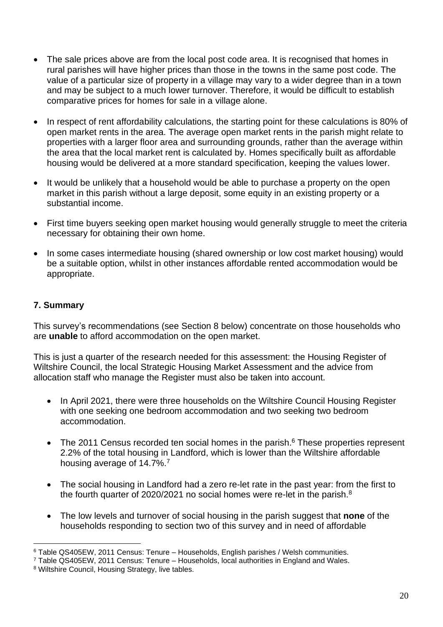- The sale prices above are from the local post code area. It is recognised that homes in rural parishes will have higher prices than those in the towns in the same post code. The value of a particular size of property in a village may vary to a wider degree than in a town and may be subject to a much lower turnover. Therefore, it would be difficult to establish comparative prices for homes for sale in a village alone.
- In respect of rent affordability calculations, the starting point for these calculations is 80% of open market rents in the area. The average open market rents in the parish might relate to properties with a larger floor area and surrounding grounds, rather than the average within the area that the local market rent is calculated by. Homes specifically built as affordable housing would be delivered at a more standard specification, keeping the values lower.
- It would be unlikely that a household would be able to purchase a property on the open market in this parish without a large deposit, some equity in an existing property or a substantial income.
- First time buyers seeking open market housing would generally struggle to meet the criteria necessary for obtaining their own home.
- In some cases intermediate housing (shared ownership or low cost market housing) would be a suitable option, whilst in other instances affordable rented accommodation would be appropriate.

#### **7. Summary**

This survey's recommendations (see Section 8 below) concentrate on those households who are **unable** to afford accommodation on the open market.

This is just a quarter of the research needed for this assessment: the Housing Register of Wiltshire Council, the local Strategic Housing Market Assessment and the advice from allocation staff who manage the Register must also be taken into account.

- In April 2021, there were three households on the Wiltshire Council Housing Register with one seeking one bedroom accommodation and two seeking two bedroom accommodation.
- The 2011 Census recorded ten social homes in the parish. $6$  These properties represent 2.2% of the total housing in Landford, which is lower than the Wiltshire affordable housing average of 14.7%.<sup>7</sup>
- The social housing in Landford had a zero re-let rate in the past year: from the first to the fourth quarter of 2020/2021 no social homes were re-let in the parish.<sup>8</sup>
- The low levels and turnover of social housing in the parish suggest that **none** of the households responding to section two of this survey and in need of affordable

<sup>6</sup> Table QS405EW, 2011 Census: Tenure – Households, English parishes / Welsh communities.

<sup>7</sup> Table QS405EW, 2011 Census: Tenure – Households, local authorities in England and Wales.

<sup>8</sup> Wiltshire Council, Housing Strategy, live tables.